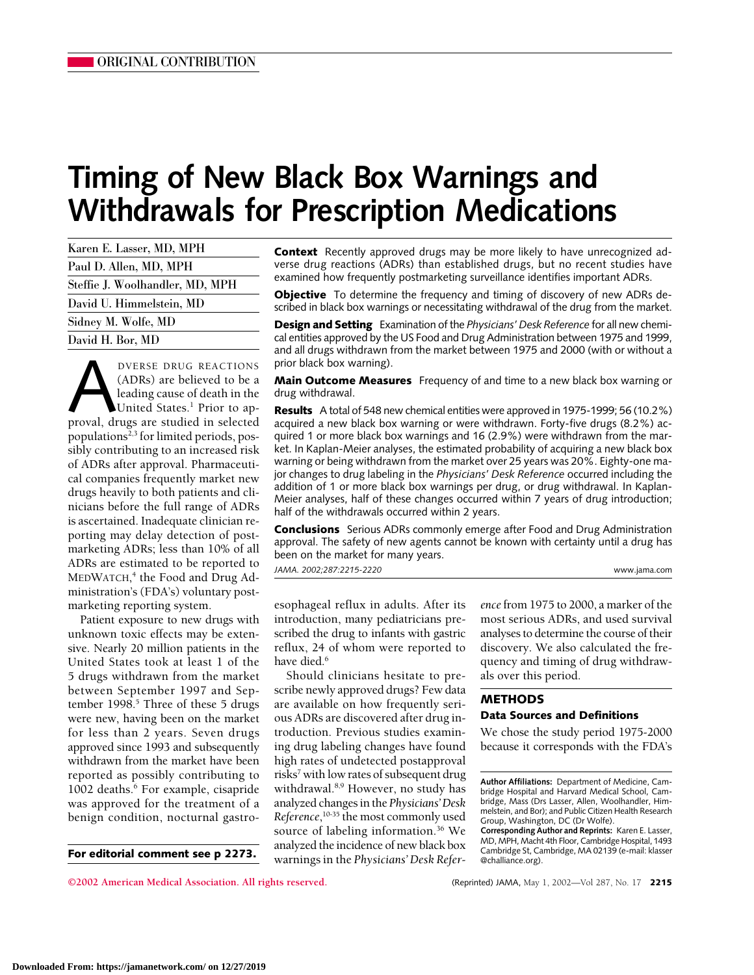# **Timing of New Black Box Warnings and Withdrawals for Prescription Medications**

| Karen E. Lasser, MD, MPH        |
|---------------------------------|
| Paul D. Allen, MD, MPH          |
| Steffie J. Woolhandler, MD, MPH |
| David U. Himmelstein, MD        |
| Sidney M. Wolfe, MD             |
| David H. Bor, MD                |

**EXECTIONS**<br>
(ADRs) are believed to be a<br>
leading cause of death in the<br>
United States.<sup>1</sup> Prior to ap-<br>
proval, drugs are studied in selected (ADRs) are believed to be a leading cause of death in the United States.<sup>1</sup> Prior to appopulations<sup>2,3</sup> for limited periods, possibly contributing to an increased risk of ADRs after approval. Pharmaceutical companies frequently market new drugs heavily to both patients and clinicians before the full range of ADRs is ascertained. Inadequate clinician reporting may delay detection of postmarketing ADRs; less than 10% of all ADRs are estimated to be reported to MEDWATCH, <sup>4</sup> the Food and Drug Administration's (FDA's) voluntary postmarketing reporting system.

Patient exposure to new drugs with unknown toxic effects may be extensive. Nearly 20 million patients in the United States took at least 1 of the 5 drugs withdrawn from the market between September 1997 and September 1998.<sup>5</sup> Three of these 5 drugs were new, having been on the market for less than 2 years. Seven drugs approved since 1993 and subsequently withdrawn from the market have been reported as possibly contributing to 1002 deaths.<sup>6</sup> For example, cisapride was approved for the treatment of a benign condition, nocturnal gastro-

**For editorial comment see p 2273.**

**Context** Recently approved drugs may be more likely to have unrecognized adverse drug reactions (ADRs) than established drugs, but no recent studies have examined how frequently postmarketing surveillance identifies important ADRs.

**Objective** To determine the frequency and timing of discovery of new ADRs described in black box warnings or necessitating withdrawal of the drug from the market.

**Design and Setting** Examination of the *Physicians' Desk Reference* for all new chemical entities approved by the US Food and Drug Administration between 1975 and 1999, and all drugs withdrawn from the market between 1975 and 2000 (with or without a prior black box warning).

**Main Outcome Measures** Frequency of and time to a new black box warning or drug withdrawal.

**Results** A total of 548 new chemical entities were approved in 1975-1999; 56 (10.2%) acquired a new black box warning or were withdrawn. Forty-five drugs (8.2%) acquired 1 or more black box warnings and 16 (2.9%) were withdrawn from the market. In Kaplan-Meier analyses, the estimated probability of acquiring a new black box warning or being withdrawn from the market over 25 years was 20%. Eighty-one major changes to drug labeling in the *Physicians' Desk Reference* occurred including the addition of 1 or more black box warnings per drug, or drug withdrawal. In Kaplan-Meier analyses, half of these changes occurred within 7 years of drug introduction; half of the withdrawals occurred within 2 years.

**Conclusions** Serious ADRs commonly emerge after Food and Drug Administration approval. The safety of new agents cannot be known with certainty until a drug has been on the market for many years. *JAMA. 2002;287:2215-2220* www.jama.com

esophageal reflux in adults. After its introduction, many pediatricians prescribed the drug to infants with gastric reflux, 24 of whom were reported to have died.<sup>6</sup>

Should clinicians hesitate to prescribe newly approved drugs? Few data are available on how frequently serious ADRs are discovered after drug introduction. Previous studies examining drug labeling changes have found high rates of undetected postapproval risks<sup>7</sup> with low rates of subsequent drug withdrawal.<sup>8,9</sup> However, no study has analyzed changes in the *Physicians' Desk Reference*, 10-35 the most commonly used source of labeling information.<sup>36</sup> We analyzed the incidence of new black box warnings in the *Physicians' Desk Refer-* *ence* from 1975 to 2000, a marker of the most serious ADRs, and used survival analyses to determine the course of their discovery. We also calculated the frequency and timing of drug withdrawals over this period.

## **METHODS**

#### **Data Sources and Definitions**

We chose the study period 1975-2000 because it corresponds with the FDA's

**©2002 American Medical Association. All rights reserved.** (Reprinted) JAMA, May 1, 2002—Vol 287, No. 17 **2215**

**Author Affiliations:** Department of Medicine, Cambridge Hospital and Harvard Medical School, Cambridge, Mass (Drs Lasser, Allen, Woolhandler, Himmelstein, and Bor); and Public Citizen Health Research Group, Washington, DC (Dr Wolfe).

**Corresponding Author and Reprints:** Karen E. Lasser, MD, MPH, Macht 4th Floor, Cambridge Hospital, 1493 Cambridge St, Cambridge, MA 02139 (e-mail: klasser @challiance.org).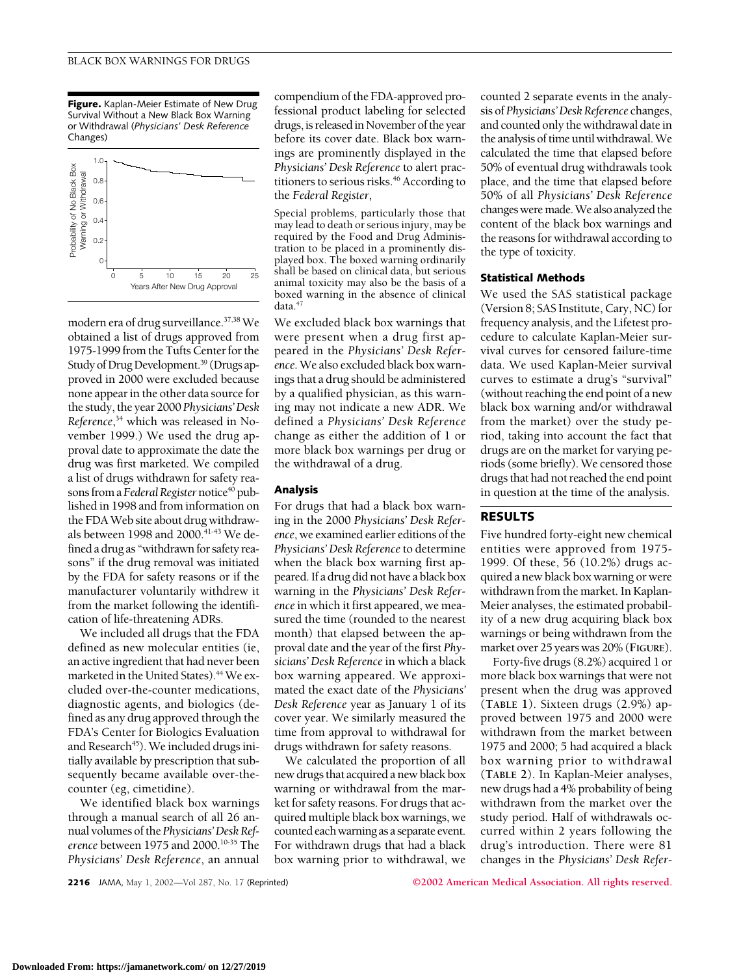**Figure.** Kaplan-Meier Estimate of New Drug Survival Without a New Black Box Warning or Withdrawal (*Physicians' Desk Reference* Changes)



modern era of drug surveillance.37,38 We obtained a list of drugs approved from 1975-1999 from the Tufts Center for the Study of Drug Development.<sup>39</sup> (Drugs approved in 2000 were excluded because none appear in the other data source for the study, the year 2000 *Physicians'Desk Reference*, <sup>34</sup> which was released in November 1999.) We used the drug approval date to approximate the date the drug was first marketed. We compiled a list of drugs withdrawn for safety reasons from a Federal Register notice<sup>40</sup> published in 1998 and from information on the FDA Web site about drug withdrawals between 1998 and 2000.<sup>41-43</sup> We defined a drug as "withdrawn for safety reasons" if the drug removal was initiated by the FDA for safety reasons or if the manufacturer voluntarily withdrew it from the market following the identification of life-threatening ADRs.

We included all drugs that the FDA defined as new molecular entities (ie, an active ingredient that had never been marketed in the United States).<sup>44</sup> We excluded over-the-counter medications, diagnostic agents, and biologics (defined as any drug approved through the FDA's Center for Biologics Evaluation and Research<sup>45</sup>). We included drugs initially available by prescription that subsequently became available over-thecounter (eg, cimetidine).

We identified black box warnings through a manual search of all 26 annual volumes of the *Physicians'Desk Reference* between 1975 and 2000.10-35 The *Physicians' Desk Reference*, an annual

compendium of the FDA-approved professional product labeling for selected drugs, is released in November of the year before its cover date. Black box warnings are prominently displayed in the *Physicians' Desk Reference* to alert practitioners to serious risks.<sup>46</sup> According to the *Federal Register*,

Special problems, particularly those that may lead to death or serious injury, may be required by the Food and Drug Administration to be placed in a prominently displayed box. The boxed warning ordinarily shall be based on clinical data, but serious animal toxicity may also be the basis of a boxed warning in the absence of clinical data.<sup>4</sup>

We excluded black box warnings that were present when a drug first appeared in the *Physicians' Desk Reference*. We also excluded black box warnings that a drug should be administered by a qualified physician, as this warning may not indicate a new ADR. We defined a *Physicians' Desk Reference* change as either the addition of 1 or more black box warnings per drug or the withdrawal of a drug.

#### **Analysis**

For drugs that had a black box warning in the 2000 *Physicians' Desk Reference*, we examined earlier editions of the *Physicians' Desk Reference* to determine when the black box warning first appeared. If a drug did not have a black box warning in the *Physicians' Desk Reference* in which it first appeared, we measured the time (rounded to the nearest month) that elapsed between the approval date and the year of the first *Physicians' Desk Reference* in which a black box warning appeared. We approximated the exact date of the *Physicians' Desk Reference* year as January 1 of its cover year. We similarly measured the time from approval to withdrawal for drugs withdrawn for safety reasons.

We calculated the proportion of all new drugs that acquired a new black box warning or withdrawal from the market for safety reasons. For drugs that acquired multiple black box warnings, we counted each warning as a separate event. For withdrawn drugs that had a black box warning prior to withdrawal, we

counted 2 separate events in the analysis of *Physicians'Desk Reference* changes, and counted only the withdrawal date in the analysis of time until withdrawal. We calculated the time that elapsed before 50% of eventual drug withdrawals took place, and the time that elapsed before 50% of all *Physicians' Desk Reference* changes were made. We also analyzed the content of the black box warnings and the reasons for withdrawal according to the type of toxicity.

#### **Statistical Methods**

We used the SAS statistical package (Version 8; SAS Institute, Cary, NC) for frequency analysis, and the Lifetest procedure to calculate Kaplan-Meier survival curves for censored failure-time data. We used Kaplan-Meier survival curves to estimate a drug's "survival" (without reaching the end point of a new black box warning and/or withdrawal from the market) over the study period, taking into account the fact that drugs are on the market for varying periods (some briefly). We censored those drugs that had not reached the end point in question at the time of the analysis.

## **RESULTS**

Five hundred forty-eight new chemical entities were approved from 1975- 1999. Of these, 56 (10.2%) drugs acquired a new black box warning or were withdrawn from the market. In Kaplan-Meier analyses, the estimated probability of a new drug acquiring black box warnings or being withdrawn from the market over 25 years was 20% (**FIGURE**).

Forty-five drugs (8.2%) acquired 1 or more black box warnings that were not present when the drug was approved (**TABLE 1**). Sixteen drugs (2.9%) approved between 1975 and 2000 were withdrawn from the market between 1975 and 2000; 5 had acquired a black box warning prior to withdrawal (**TABLE 2**). In Kaplan-Meier analyses, new drugs had a 4% probability of being withdrawn from the market over the study period. Half of withdrawals occurred within 2 years following the drug's introduction. There were 81 changes in the *Physicians' Desk Refer-*

**2216** JAMA, May 1, 2002—Vol 287, No. 17 (Reprinted) **©2002 American Medical Association. All rights reserved.**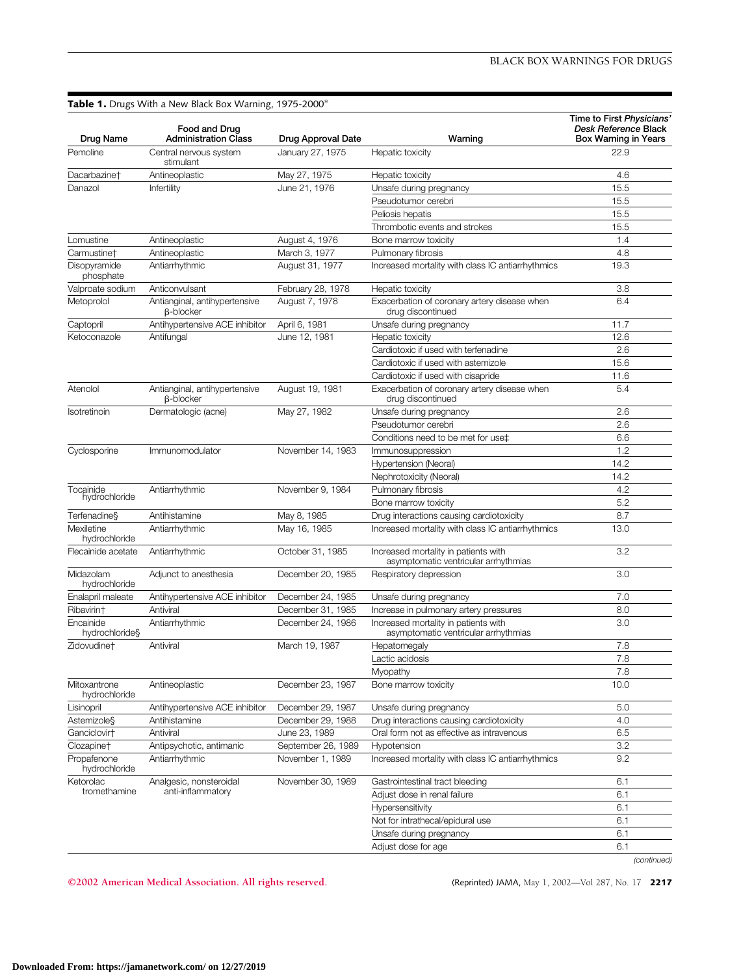## **Table 1.** Drugs With a New Black Box Warning, 1975-2000\*

| Pemoline<br>Central nervous system<br>January 27, 1975<br>Hepatic toxicity<br>22.9<br>stimulant<br>Dacarbazine†<br>Antineoplastic<br>May 27, 1975<br>4.6<br>Hepatic toxicity<br>15.5<br>Danazol<br>Infertility<br>June 21, 1976<br>Unsafe during pregnancy<br>Pseudotumor cerebri<br>15.5<br>15.5<br>Peliosis hepatis<br>15.5<br>Thrombotic events and strokes<br>Lomustine<br>Antineoplastic<br>August 4, 1976<br>1.4<br>Bone marrow toxicity<br>March 3, 1977<br>4.8<br>Carmustine <sup>+</sup><br>Antineoplastic<br>Pulmonary fibrosis<br>Increased mortality with class IC antiarrhythmics<br>Disopyramide<br>Antiarrhythmic<br>August 31, 1977<br>19.3<br>phosphate<br>Valproate sodium<br>3.8<br>Anticonvulsant<br>February 28, 1978<br>Hepatic toxicity<br>Metoprolol<br>Exacerbation of coronary artery disease when<br>6.4<br>Antianginal, antihypertensive<br>August 7, 1978<br><b>B-blocker</b><br>drug discontinued<br>Captopril<br>Antihypertensive ACE inhibitor<br>April 6, 1981<br>Unsafe during pregnancy<br>11.7<br>June 12, 1981<br>12.6<br>Ketoconazole<br>Antifungal<br>Hepatic toxicity<br>Cardiotoxic if used with terfenadine<br>2.6<br>15.6<br>Cardiotoxic if used with astemizole<br>11.6<br>Cardiotoxic if used with cisapride<br>5.4<br>Atenolol<br>Antianginal, antihypertensive<br>August 19, 1981<br>Exacerbation of coronary artery disease when<br>drug discontinued<br><b>B-blocker</b><br>2.6<br>Dermatologic (acne)<br>May 27, 1982<br>Unsafe during pregnancy<br>Isotretinoin<br>Pseudotumor cerebri<br>2.6<br>6.6<br>Conditions need to be met for use‡<br>1.2<br>Cyclosporine<br>November 14, 1983<br>Immunomodulator<br>Immunosuppression<br>14.2<br>Hypertension (Neoral)<br>14.2<br>Nephrotoxicity (Neoral)<br>Tocainide<br>Antiarrhythmic<br>November 9, 1984<br>Pulmonary fibrosis<br>4.2<br>hydrochloride<br>5.2<br>Bone marrow toxicity<br>8.7<br>Terfenadine§<br>Antihistamine<br>May 8, 1985<br>Drug interactions causing cardiotoxicity<br>Increased mortality with class IC antiarrhythmics<br>Mexiletine<br>May 16, 1985<br>13.0<br>Antiarrhythmic<br>hydrochloride<br>3.2<br>Flecainide acetate<br>Antiarrhythmic<br>October 31, 1985<br>Increased mortality in patients with<br>asymptomatic ventricular arrhythmias<br>3.0<br>Midazolam<br>Adjunct to anesthesia<br>December 20, 1985<br>Respiratory depression<br>hydrochloride<br>Antihypertensive ACE inhibitor<br>December 24, 1985<br>7.0<br>Enalapril maleate<br>Unsafe during pregnancy<br>8.0<br>Antiviral<br>December 31, 1985<br>Increase in pulmonary artery pressures<br>Ribavirint<br>Increased mortality in patients with<br>3.0<br>Encainide<br>Antiarrhythmic<br>December 24, 1986<br>asymptomatic ventricular arrhythmias<br>hydrochloride§<br>March 19, 1987<br>7.8<br>Zidovudine†<br>Antiviral<br>Hepatomegaly<br>7.8<br>Lactic acidosis<br>Myopathy<br>7.8<br>Mitoxantrone<br>December 23, 1987<br>Bone marrow toxicity<br>10.0<br>Antineoplastic<br>hydrochloride<br>Antihypertensive ACE inhibitor<br>December 29, 1987<br>Unsafe during pregnancy<br>5.0<br>Lisinopril<br>Astemizole§<br>Antihistamine<br>December 29, 1988<br>Drug interactions causing cardiotoxicity<br>4.0<br>Ganciclovirt<br>Antiviral<br>June 23, 1989<br>Oral form not as effective as intravenous<br>6.5<br>Clozapine <sup>+</sup><br>Antipsychotic, antimanic<br>Hypotension<br>3.2<br>September 26, 1989<br>9.2<br>Propafenone<br>November 1, 1989<br>Increased mortality with class IC antiarrhythmics<br>Antiarrhythmic<br>hydrochloride<br>Ketorolac<br>Analgesic, nonsteroidal<br>November 30, 1989<br>6.1<br>Gastrointestinal tract bleeding<br>anti-inflammatory<br>tromethamine<br>6.1<br>Adjust dose in renal failure<br>6.1<br>Hypersensitivity<br>Not for intrathecal/epidural use<br>6.1<br>6.1<br>Unsafe during pregnancy<br>6.1<br>Adjust dose for age | Drug Name | Food and Drug<br><b>Administration Class</b> | Drug Approval Date | Warning | Time to First Physicians'<br>Desk Reference Black<br><b>Box Warning in Years</b> |
|----------------------------------------------------------------------------------------------------------------------------------------------------------------------------------------------------------------------------------------------------------------------------------------------------------------------------------------------------------------------------------------------------------------------------------------------------------------------------------------------------------------------------------------------------------------------------------------------------------------------------------------------------------------------------------------------------------------------------------------------------------------------------------------------------------------------------------------------------------------------------------------------------------------------------------------------------------------------------------------------------------------------------------------------------------------------------------------------------------------------------------------------------------------------------------------------------------------------------------------------------------------------------------------------------------------------------------------------------------------------------------------------------------------------------------------------------------------------------------------------------------------------------------------------------------------------------------------------------------------------------------------------------------------------------------------------------------------------------------------------------------------------------------------------------------------------------------------------------------------------------------------------------------------------------------------------------------------------------------------------------------------------------------------------------------------------------------------------------------------------------------------------------------------------------------------------------------------------------------------------------------------------------------------------------------------------------------------------------------------------------------------------------------------------------------------------------------------------------------------------------------------------------------------------------------------------------------------------------------------------------------------------------------------------------------------------------------------------------------------------------------------------------------------------------------------------------------------------------------------------------------------------------------------------------------------------------------------------------------------------------------------------------------------------------------------------------------------------------------------------------------------------------------------------------------------------------------------------------------------------------------------------------------------------------------------------------------------------------------------------------------------------------------------------------------------------------------------------------------------------------------------------------------------------------------------------------------------------------------------------------------------------------------------------------------------------------------------------------------------------------------------------------------------------------------------------------------------------------------------------------|-----------|----------------------------------------------|--------------------|---------|----------------------------------------------------------------------------------|
|                                                                                                                                                                                                                                                                                                                                                                                                                                                                                                                                                                                                                                                                                                                                                                                                                                                                                                                                                                                                                                                                                                                                                                                                                                                                                                                                                                                                                                                                                                                                                                                                                                                                                                                                                                                                                                                                                                                                                                                                                                                                                                                                                                                                                                                                                                                                                                                                                                                                                                                                                                                                                                                                                                                                                                                                                                                                                                                                                                                                                                                                                                                                                                                                                                                                                                                                                                                                                                                                                                                                                                                                                                                                                                                                                                                                                                                                            |           |                                              |                    |         |                                                                                  |
|                                                                                                                                                                                                                                                                                                                                                                                                                                                                                                                                                                                                                                                                                                                                                                                                                                                                                                                                                                                                                                                                                                                                                                                                                                                                                                                                                                                                                                                                                                                                                                                                                                                                                                                                                                                                                                                                                                                                                                                                                                                                                                                                                                                                                                                                                                                                                                                                                                                                                                                                                                                                                                                                                                                                                                                                                                                                                                                                                                                                                                                                                                                                                                                                                                                                                                                                                                                                                                                                                                                                                                                                                                                                                                                                                                                                                                                                            |           |                                              |                    |         |                                                                                  |
|                                                                                                                                                                                                                                                                                                                                                                                                                                                                                                                                                                                                                                                                                                                                                                                                                                                                                                                                                                                                                                                                                                                                                                                                                                                                                                                                                                                                                                                                                                                                                                                                                                                                                                                                                                                                                                                                                                                                                                                                                                                                                                                                                                                                                                                                                                                                                                                                                                                                                                                                                                                                                                                                                                                                                                                                                                                                                                                                                                                                                                                                                                                                                                                                                                                                                                                                                                                                                                                                                                                                                                                                                                                                                                                                                                                                                                                                            |           |                                              |                    |         |                                                                                  |
|                                                                                                                                                                                                                                                                                                                                                                                                                                                                                                                                                                                                                                                                                                                                                                                                                                                                                                                                                                                                                                                                                                                                                                                                                                                                                                                                                                                                                                                                                                                                                                                                                                                                                                                                                                                                                                                                                                                                                                                                                                                                                                                                                                                                                                                                                                                                                                                                                                                                                                                                                                                                                                                                                                                                                                                                                                                                                                                                                                                                                                                                                                                                                                                                                                                                                                                                                                                                                                                                                                                                                                                                                                                                                                                                                                                                                                                                            |           |                                              |                    |         |                                                                                  |
|                                                                                                                                                                                                                                                                                                                                                                                                                                                                                                                                                                                                                                                                                                                                                                                                                                                                                                                                                                                                                                                                                                                                                                                                                                                                                                                                                                                                                                                                                                                                                                                                                                                                                                                                                                                                                                                                                                                                                                                                                                                                                                                                                                                                                                                                                                                                                                                                                                                                                                                                                                                                                                                                                                                                                                                                                                                                                                                                                                                                                                                                                                                                                                                                                                                                                                                                                                                                                                                                                                                                                                                                                                                                                                                                                                                                                                                                            |           |                                              |                    |         |                                                                                  |
|                                                                                                                                                                                                                                                                                                                                                                                                                                                                                                                                                                                                                                                                                                                                                                                                                                                                                                                                                                                                                                                                                                                                                                                                                                                                                                                                                                                                                                                                                                                                                                                                                                                                                                                                                                                                                                                                                                                                                                                                                                                                                                                                                                                                                                                                                                                                                                                                                                                                                                                                                                                                                                                                                                                                                                                                                                                                                                                                                                                                                                                                                                                                                                                                                                                                                                                                                                                                                                                                                                                                                                                                                                                                                                                                                                                                                                                                            |           |                                              |                    |         |                                                                                  |
|                                                                                                                                                                                                                                                                                                                                                                                                                                                                                                                                                                                                                                                                                                                                                                                                                                                                                                                                                                                                                                                                                                                                                                                                                                                                                                                                                                                                                                                                                                                                                                                                                                                                                                                                                                                                                                                                                                                                                                                                                                                                                                                                                                                                                                                                                                                                                                                                                                                                                                                                                                                                                                                                                                                                                                                                                                                                                                                                                                                                                                                                                                                                                                                                                                                                                                                                                                                                                                                                                                                                                                                                                                                                                                                                                                                                                                                                            |           |                                              |                    |         |                                                                                  |
|                                                                                                                                                                                                                                                                                                                                                                                                                                                                                                                                                                                                                                                                                                                                                                                                                                                                                                                                                                                                                                                                                                                                                                                                                                                                                                                                                                                                                                                                                                                                                                                                                                                                                                                                                                                                                                                                                                                                                                                                                                                                                                                                                                                                                                                                                                                                                                                                                                                                                                                                                                                                                                                                                                                                                                                                                                                                                                                                                                                                                                                                                                                                                                                                                                                                                                                                                                                                                                                                                                                                                                                                                                                                                                                                                                                                                                                                            |           |                                              |                    |         |                                                                                  |
|                                                                                                                                                                                                                                                                                                                                                                                                                                                                                                                                                                                                                                                                                                                                                                                                                                                                                                                                                                                                                                                                                                                                                                                                                                                                                                                                                                                                                                                                                                                                                                                                                                                                                                                                                                                                                                                                                                                                                                                                                                                                                                                                                                                                                                                                                                                                                                                                                                                                                                                                                                                                                                                                                                                                                                                                                                                                                                                                                                                                                                                                                                                                                                                                                                                                                                                                                                                                                                                                                                                                                                                                                                                                                                                                                                                                                                                                            |           |                                              |                    |         |                                                                                  |
|                                                                                                                                                                                                                                                                                                                                                                                                                                                                                                                                                                                                                                                                                                                                                                                                                                                                                                                                                                                                                                                                                                                                                                                                                                                                                                                                                                                                                                                                                                                                                                                                                                                                                                                                                                                                                                                                                                                                                                                                                                                                                                                                                                                                                                                                                                                                                                                                                                                                                                                                                                                                                                                                                                                                                                                                                                                                                                                                                                                                                                                                                                                                                                                                                                                                                                                                                                                                                                                                                                                                                                                                                                                                                                                                                                                                                                                                            |           |                                              |                    |         |                                                                                  |
|                                                                                                                                                                                                                                                                                                                                                                                                                                                                                                                                                                                                                                                                                                                                                                                                                                                                                                                                                                                                                                                                                                                                                                                                                                                                                                                                                                                                                                                                                                                                                                                                                                                                                                                                                                                                                                                                                                                                                                                                                                                                                                                                                                                                                                                                                                                                                                                                                                                                                                                                                                                                                                                                                                                                                                                                                                                                                                                                                                                                                                                                                                                                                                                                                                                                                                                                                                                                                                                                                                                                                                                                                                                                                                                                                                                                                                                                            |           |                                              |                    |         |                                                                                  |
|                                                                                                                                                                                                                                                                                                                                                                                                                                                                                                                                                                                                                                                                                                                                                                                                                                                                                                                                                                                                                                                                                                                                                                                                                                                                                                                                                                                                                                                                                                                                                                                                                                                                                                                                                                                                                                                                                                                                                                                                                                                                                                                                                                                                                                                                                                                                                                                                                                                                                                                                                                                                                                                                                                                                                                                                                                                                                                                                                                                                                                                                                                                                                                                                                                                                                                                                                                                                                                                                                                                                                                                                                                                                                                                                                                                                                                                                            |           |                                              |                    |         |                                                                                  |
|                                                                                                                                                                                                                                                                                                                                                                                                                                                                                                                                                                                                                                                                                                                                                                                                                                                                                                                                                                                                                                                                                                                                                                                                                                                                                                                                                                                                                                                                                                                                                                                                                                                                                                                                                                                                                                                                                                                                                                                                                                                                                                                                                                                                                                                                                                                                                                                                                                                                                                                                                                                                                                                                                                                                                                                                                                                                                                                                                                                                                                                                                                                                                                                                                                                                                                                                                                                                                                                                                                                                                                                                                                                                                                                                                                                                                                                                            |           |                                              |                    |         |                                                                                  |
|                                                                                                                                                                                                                                                                                                                                                                                                                                                                                                                                                                                                                                                                                                                                                                                                                                                                                                                                                                                                                                                                                                                                                                                                                                                                                                                                                                                                                                                                                                                                                                                                                                                                                                                                                                                                                                                                                                                                                                                                                                                                                                                                                                                                                                                                                                                                                                                                                                                                                                                                                                                                                                                                                                                                                                                                                                                                                                                                                                                                                                                                                                                                                                                                                                                                                                                                                                                                                                                                                                                                                                                                                                                                                                                                                                                                                                                                            |           |                                              |                    |         |                                                                                  |
|                                                                                                                                                                                                                                                                                                                                                                                                                                                                                                                                                                                                                                                                                                                                                                                                                                                                                                                                                                                                                                                                                                                                                                                                                                                                                                                                                                                                                                                                                                                                                                                                                                                                                                                                                                                                                                                                                                                                                                                                                                                                                                                                                                                                                                                                                                                                                                                                                                                                                                                                                                                                                                                                                                                                                                                                                                                                                                                                                                                                                                                                                                                                                                                                                                                                                                                                                                                                                                                                                                                                                                                                                                                                                                                                                                                                                                                                            |           |                                              |                    |         |                                                                                  |
|                                                                                                                                                                                                                                                                                                                                                                                                                                                                                                                                                                                                                                                                                                                                                                                                                                                                                                                                                                                                                                                                                                                                                                                                                                                                                                                                                                                                                                                                                                                                                                                                                                                                                                                                                                                                                                                                                                                                                                                                                                                                                                                                                                                                                                                                                                                                                                                                                                                                                                                                                                                                                                                                                                                                                                                                                                                                                                                                                                                                                                                                                                                                                                                                                                                                                                                                                                                                                                                                                                                                                                                                                                                                                                                                                                                                                                                                            |           |                                              |                    |         |                                                                                  |
|                                                                                                                                                                                                                                                                                                                                                                                                                                                                                                                                                                                                                                                                                                                                                                                                                                                                                                                                                                                                                                                                                                                                                                                                                                                                                                                                                                                                                                                                                                                                                                                                                                                                                                                                                                                                                                                                                                                                                                                                                                                                                                                                                                                                                                                                                                                                                                                                                                                                                                                                                                                                                                                                                                                                                                                                                                                                                                                                                                                                                                                                                                                                                                                                                                                                                                                                                                                                                                                                                                                                                                                                                                                                                                                                                                                                                                                                            |           |                                              |                    |         |                                                                                  |
|                                                                                                                                                                                                                                                                                                                                                                                                                                                                                                                                                                                                                                                                                                                                                                                                                                                                                                                                                                                                                                                                                                                                                                                                                                                                                                                                                                                                                                                                                                                                                                                                                                                                                                                                                                                                                                                                                                                                                                                                                                                                                                                                                                                                                                                                                                                                                                                                                                                                                                                                                                                                                                                                                                                                                                                                                                                                                                                                                                                                                                                                                                                                                                                                                                                                                                                                                                                                                                                                                                                                                                                                                                                                                                                                                                                                                                                                            |           |                                              |                    |         |                                                                                  |
|                                                                                                                                                                                                                                                                                                                                                                                                                                                                                                                                                                                                                                                                                                                                                                                                                                                                                                                                                                                                                                                                                                                                                                                                                                                                                                                                                                                                                                                                                                                                                                                                                                                                                                                                                                                                                                                                                                                                                                                                                                                                                                                                                                                                                                                                                                                                                                                                                                                                                                                                                                                                                                                                                                                                                                                                                                                                                                                                                                                                                                                                                                                                                                                                                                                                                                                                                                                                                                                                                                                                                                                                                                                                                                                                                                                                                                                                            |           |                                              |                    |         |                                                                                  |
|                                                                                                                                                                                                                                                                                                                                                                                                                                                                                                                                                                                                                                                                                                                                                                                                                                                                                                                                                                                                                                                                                                                                                                                                                                                                                                                                                                                                                                                                                                                                                                                                                                                                                                                                                                                                                                                                                                                                                                                                                                                                                                                                                                                                                                                                                                                                                                                                                                                                                                                                                                                                                                                                                                                                                                                                                                                                                                                                                                                                                                                                                                                                                                                                                                                                                                                                                                                                                                                                                                                                                                                                                                                                                                                                                                                                                                                                            |           |                                              |                    |         |                                                                                  |
|                                                                                                                                                                                                                                                                                                                                                                                                                                                                                                                                                                                                                                                                                                                                                                                                                                                                                                                                                                                                                                                                                                                                                                                                                                                                                                                                                                                                                                                                                                                                                                                                                                                                                                                                                                                                                                                                                                                                                                                                                                                                                                                                                                                                                                                                                                                                                                                                                                                                                                                                                                                                                                                                                                                                                                                                                                                                                                                                                                                                                                                                                                                                                                                                                                                                                                                                                                                                                                                                                                                                                                                                                                                                                                                                                                                                                                                                            |           |                                              |                    |         |                                                                                  |
|                                                                                                                                                                                                                                                                                                                                                                                                                                                                                                                                                                                                                                                                                                                                                                                                                                                                                                                                                                                                                                                                                                                                                                                                                                                                                                                                                                                                                                                                                                                                                                                                                                                                                                                                                                                                                                                                                                                                                                                                                                                                                                                                                                                                                                                                                                                                                                                                                                                                                                                                                                                                                                                                                                                                                                                                                                                                                                                                                                                                                                                                                                                                                                                                                                                                                                                                                                                                                                                                                                                                                                                                                                                                                                                                                                                                                                                                            |           |                                              |                    |         |                                                                                  |
|                                                                                                                                                                                                                                                                                                                                                                                                                                                                                                                                                                                                                                                                                                                                                                                                                                                                                                                                                                                                                                                                                                                                                                                                                                                                                                                                                                                                                                                                                                                                                                                                                                                                                                                                                                                                                                                                                                                                                                                                                                                                                                                                                                                                                                                                                                                                                                                                                                                                                                                                                                                                                                                                                                                                                                                                                                                                                                                                                                                                                                                                                                                                                                                                                                                                                                                                                                                                                                                                                                                                                                                                                                                                                                                                                                                                                                                                            |           |                                              |                    |         |                                                                                  |
|                                                                                                                                                                                                                                                                                                                                                                                                                                                                                                                                                                                                                                                                                                                                                                                                                                                                                                                                                                                                                                                                                                                                                                                                                                                                                                                                                                                                                                                                                                                                                                                                                                                                                                                                                                                                                                                                                                                                                                                                                                                                                                                                                                                                                                                                                                                                                                                                                                                                                                                                                                                                                                                                                                                                                                                                                                                                                                                                                                                                                                                                                                                                                                                                                                                                                                                                                                                                                                                                                                                                                                                                                                                                                                                                                                                                                                                                            |           |                                              |                    |         |                                                                                  |
|                                                                                                                                                                                                                                                                                                                                                                                                                                                                                                                                                                                                                                                                                                                                                                                                                                                                                                                                                                                                                                                                                                                                                                                                                                                                                                                                                                                                                                                                                                                                                                                                                                                                                                                                                                                                                                                                                                                                                                                                                                                                                                                                                                                                                                                                                                                                                                                                                                                                                                                                                                                                                                                                                                                                                                                                                                                                                                                                                                                                                                                                                                                                                                                                                                                                                                                                                                                                                                                                                                                                                                                                                                                                                                                                                                                                                                                                            |           |                                              |                    |         |                                                                                  |
|                                                                                                                                                                                                                                                                                                                                                                                                                                                                                                                                                                                                                                                                                                                                                                                                                                                                                                                                                                                                                                                                                                                                                                                                                                                                                                                                                                                                                                                                                                                                                                                                                                                                                                                                                                                                                                                                                                                                                                                                                                                                                                                                                                                                                                                                                                                                                                                                                                                                                                                                                                                                                                                                                                                                                                                                                                                                                                                                                                                                                                                                                                                                                                                                                                                                                                                                                                                                                                                                                                                                                                                                                                                                                                                                                                                                                                                                            |           |                                              |                    |         |                                                                                  |
|                                                                                                                                                                                                                                                                                                                                                                                                                                                                                                                                                                                                                                                                                                                                                                                                                                                                                                                                                                                                                                                                                                                                                                                                                                                                                                                                                                                                                                                                                                                                                                                                                                                                                                                                                                                                                                                                                                                                                                                                                                                                                                                                                                                                                                                                                                                                                                                                                                                                                                                                                                                                                                                                                                                                                                                                                                                                                                                                                                                                                                                                                                                                                                                                                                                                                                                                                                                                                                                                                                                                                                                                                                                                                                                                                                                                                                                                            |           |                                              |                    |         |                                                                                  |
|                                                                                                                                                                                                                                                                                                                                                                                                                                                                                                                                                                                                                                                                                                                                                                                                                                                                                                                                                                                                                                                                                                                                                                                                                                                                                                                                                                                                                                                                                                                                                                                                                                                                                                                                                                                                                                                                                                                                                                                                                                                                                                                                                                                                                                                                                                                                                                                                                                                                                                                                                                                                                                                                                                                                                                                                                                                                                                                                                                                                                                                                                                                                                                                                                                                                                                                                                                                                                                                                                                                                                                                                                                                                                                                                                                                                                                                                            |           |                                              |                    |         |                                                                                  |
|                                                                                                                                                                                                                                                                                                                                                                                                                                                                                                                                                                                                                                                                                                                                                                                                                                                                                                                                                                                                                                                                                                                                                                                                                                                                                                                                                                                                                                                                                                                                                                                                                                                                                                                                                                                                                                                                                                                                                                                                                                                                                                                                                                                                                                                                                                                                                                                                                                                                                                                                                                                                                                                                                                                                                                                                                                                                                                                                                                                                                                                                                                                                                                                                                                                                                                                                                                                                                                                                                                                                                                                                                                                                                                                                                                                                                                                                            |           |                                              |                    |         |                                                                                  |
|                                                                                                                                                                                                                                                                                                                                                                                                                                                                                                                                                                                                                                                                                                                                                                                                                                                                                                                                                                                                                                                                                                                                                                                                                                                                                                                                                                                                                                                                                                                                                                                                                                                                                                                                                                                                                                                                                                                                                                                                                                                                                                                                                                                                                                                                                                                                                                                                                                                                                                                                                                                                                                                                                                                                                                                                                                                                                                                                                                                                                                                                                                                                                                                                                                                                                                                                                                                                                                                                                                                                                                                                                                                                                                                                                                                                                                                                            |           |                                              |                    |         |                                                                                  |
|                                                                                                                                                                                                                                                                                                                                                                                                                                                                                                                                                                                                                                                                                                                                                                                                                                                                                                                                                                                                                                                                                                                                                                                                                                                                                                                                                                                                                                                                                                                                                                                                                                                                                                                                                                                                                                                                                                                                                                                                                                                                                                                                                                                                                                                                                                                                                                                                                                                                                                                                                                                                                                                                                                                                                                                                                                                                                                                                                                                                                                                                                                                                                                                                                                                                                                                                                                                                                                                                                                                                                                                                                                                                                                                                                                                                                                                                            |           |                                              |                    |         |                                                                                  |
|                                                                                                                                                                                                                                                                                                                                                                                                                                                                                                                                                                                                                                                                                                                                                                                                                                                                                                                                                                                                                                                                                                                                                                                                                                                                                                                                                                                                                                                                                                                                                                                                                                                                                                                                                                                                                                                                                                                                                                                                                                                                                                                                                                                                                                                                                                                                                                                                                                                                                                                                                                                                                                                                                                                                                                                                                                                                                                                                                                                                                                                                                                                                                                                                                                                                                                                                                                                                                                                                                                                                                                                                                                                                                                                                                                                                                                                                            |           |                                              |                    |         |                                                                                  |
|                                                                                                                                                                                                                                                                                                                                                                                                                                                                                                                                                                                                                                                                                                                                                                                                                                                                                                                                                                                                                                                                                                                                                                                                                                                                                                                                                                                                                                                                                                                                                                                                                                                                                                                                                                                                                                                                                                                                                                                                                                                                                                                                                                                                                                                                                                                                                                                                                                                                                                                                                                                                                                                                                                                                                                                                                                                                                                                                                                                                                                                                                                                                                                                                                                                                                                                                                                                                                                                                                                                                                                                                                                                                                                                                                                                                                                                                            |           |                                              |                    |         |                                                                                  |
|                                                                                                                                                                                                                                                                                                                                                                                                                                                                                                                                                                                                                                                                                                                                                                                                                                                                                                                                                                                                                                                                                                                                                                                                                                                                                                                                                                                                                                                                                                                                                                                                                                                                                                                                                                                                                                                                                                                                                                                                                                                                                                                                                                                                                                                                                                                                                                                                                                                                                                                                                                                                                                                                                                                                                                                                                                                                                                                                                                                                                                                                                                                                                                                                                                                                                                                                                                                                                                                                                                                                                                                                                                                                                                                                                                                                                                                                            |           |                                              |                    |         |                                                                                  |
|                                                                                                                                                                                                                                                                                                                                                                                                                                                                                                                                                                                                                                                                                                                                                                                                                                                                                                                                                                                                                                                                                                                                                                                                                                                                                                                                                                                                                                                                                                                                                                                                                                                                                                                                                                                                                                                                                                                                                                                                                                                                                                                                                                                                                                                                                                                                                                                                                                                                                                                                                                                                                                                                                                                                                                                                                                                                                                                                                                                                                                                                                                                                                                                                                                                                                                                                                                                                                                                                                                                                                                                                                                                                                                                                                                                                                                                                            |           |                                              |                    |         |                                                                                  |
|                                                                                                                                                                                                                                                                                                                                                                                                                                                                                                                                                                                                                                                                                                                                                                                                                                                                                                                                                                                                                                                                                                                                                                                                                                                                                                                                                                                                                                                                                                                                                                                                                                                                                                                                                                                                                                                                                                                                                                                                                                                                                                                                                                                                                                                                                                                                                                                                                                                                                                                                                                                                                                                                                                                                                                                                                                                                                                                                                                                                                                                                                                                                                                                                                                                                                                                                                                                                                                                                                                                                                                                                                                                                                                                                                                                                                                                                            |           |                                              |                    |         |                                                                                  |
|                                                                                                                                                                                                                                                                                                                                                                                                                                                                                                                                                                                                                                                                                                                                                                                                                                                                                                                                                                                                                                                                                                                                                                                                                                                                                                                                                                                                                                                                                                                                                                                                                                                                                                                                                                                                                                                                                                                                                                                                                                                                                                                                                                                                                                                                                                                                                                                                                                                                                                                                                                                                                                                                                                                                                                                                                                                                                                                                                                                                                                                                                                                                                                                                                                                                                                                                                                                                                                                                                                                                                                                                                                                                                                                                                                                                                                                                            |           |                                              |                    |         |                                                                                  |
|                                                                                                                                                                                                                                                                                                                                                                                                                                                                                                                                                                                                                                                                                                                                                                                                                                                                                                                                                                                                                                                                                                                                                                                                                                                                                                                                                                                                                                                                                                                                                                                                                                                                                                                                                                                                                                                                                                                                                                                                                                                                                                                                                                                                                                                                                                                                                                                                                                                                                                                                                                                                                                                                                                                                                                                                                                                                                                                                                                                                                                                                                                                                                                                                                                                                                                                                                                                                                                                                                                                                                                                                                                                                                                                                                                                                                                                                            |           |                                              |                    |         |                                                                                  |
|                                                                                                                                                                                                                                                                                                                                                                                                                                                                                                                                                                                                                                                                                                                                                                                                                                                                                                                                                                                                                                                                                                                                                                                                                                                                                                                                                                                                                                                                                                                                                                                                                                                                                                                                                                                                                                                                                                                                                                                                                                                                                                                                                                                                                                                                                                                                                                                                                                                                                                                                                                                                                                                                                                                                                                                                                                                                                                                                                                                                                                                                                                                                                                                                                                                                                                                                                                                                                                                                                                                                                                                                                                                                                                                                                                                                                                                                            |           |                                              |                    |         |                                                                                  |
|                                                                                                                                                                                                                                                                                                                                                                                                                                                                                                                                                                                                                                                                                                                                                                                                                                                                                                                                                                                                                                                                                                                                                                                                                                                                                                                                                                                                                                                                                                                                                                                                                                                                                                                                                                                                                                                                                                                                                                                                                                                                                                                                                                                                                                                                                                                                                                                                                                                                                                                                                                                                                                                                                                                                                                                                                                                                                                                                                                                                                                                                                                                                                                                                                                                                                                                                                                                                                                                                                                                                                                                                                                                                                                                                                                                                                                                                            |           |                                              |                    |         |                                                                                  |
|                                                                                                                                                                                                                                                                                                                                                                                                                                                                                                                                                                                                                                                                                                                                                                                                                                                                                                                                                                                                                                                                                                                                                                                                                                                                                                                                                                                                                                                                                                                                                                                                                                                                                                                                                                                                                                                                                                                                                                                                                                                                                                                                                                                                                                                                                                                                                                                                                                                                                                                                                                                                                                                                                                                                                                                                                                                                                                                                                                                                                                                                                                                                                                                                                                                                                                                                                                                                                                                                                                                                                                                                                                                                                                                                                                                                                                                                            |           |                                              |                    |         |                                                                                  |
|                                                                                                                                                                                                                                                                                                                                                                                                                                                                                                                                                                                                                                                                                                                                                                                                                                                                                                                                                                                                                                                                                                                                                                                                                                                                                                                                                                                                                                                                                                                                                                                                                                                                                                                                                                                                                                                                                                                                                                                                                                                                                                                                                                                                                                                                                                                                                                                                                                                                                                                                                                                                                                                                                                                                                                                                                                                                                                                                                                                                                                                                                                                                                                                                                                                                                                                                                                                                                                                                                                                                                                                                                                                                                                                                                                                                                                                                            |           |                                              |                    |         |                                                                                  |
|                                                                                                                                                                                                                                                                                                                                                                                                                                                                                                                                                                                                                                                                                                                                                                                                                                                                                                                                                                                                                                                                                                                                                                                                                                                                                                                                                                                                                                                                                                                                                                                                                                                                                                                                                                                                                                                                                                                                                                                                                                                                                                                                                                                                                                                                                                                                                                                                                                                                                                                                                                                                                                                                                                                                                                                                                                                                                                                                                                                                                                                                                                                                                                                                                                                                                                                                                                                                                                                                                                                                                                                                                                                                                                                                                                                                                                                                            |           |                                              |                    |         |                                                                                  |
|                                                                                                                                                                                                                                                                                                                                                                                                                                                                                                                                                                                                                                                                                                                                                                                                                                                                                                                                                                                                                                                                                                                                                                                                                                                                                                                                                                                                                                                                                                                                                                                                                                                                                                                                                                                                                                                                                                                                                                                                                                                                                                                                                                                                                                                                                                                                                                                                                                                                                                                                                                                                                                                                                                                                                                                                                                                                                                                                                                                                                                                                                                                                                                                                                                                                                                                                                                                                                                                                                                                                                                                                                                                                                                                                                                                                                                                                            |           |                                              |                    |         |                                                                                  |
|                                                                                                                                                                                                                                                                                                                                                                                                                                                                                                                                                                                                                                                                                                                                                                                                                                                                                                                                                                                                                                                                                                                                                                                                                                                                                                                                                                                                                                                                                                                                                                                                                                                                                                                                                                                                                                                                                                                                                                                                                                                                                                                                                                                                                                                                                                                                                                                                                                                                                                                                                                                                                                                                                                                                                                                                                                                                                                                                                                                                                                                                                                                                                                                                                                                                                                                                                                                                                                                                                                                                                                                                                                                                                                                                                                                                                                                                            |           |                                              |                    |         |                                                                                  |
|                                                                                                                                                                                                                                                                                                                                                                                                                                                                                                                                                                                                                                                                                                                                                                                                                                                                                                                                                                                                                                                                                                                                                                                                                                                                                                                                                                                                                                                                                                                                                                                                                                                                                                                                                                                                                                                                                                                                                                                                                                                                                                                                                                                                                                                                                                                                                                                                                                                                                                                                                                                                                                                                                                                                                                                                                                                                                                                                                                                                                                                                                                                                                                                                                                                                                                                                                                                                                                                                                                                                                                                                                                                                                                                                                                                                                                                                            |           |                                              |                    |         |                                                                                  |
|                                                                                                                                                                                                                                                                                                                                                                                                                                                                                                                                                                                                                                                                                                                                                                                                                                                                                                                                                                                                                                                                                                                                                                                                                                                                                                                                                                                                                                                                                                                                                                                                                                                                                                                                                                                                                                                                                                                                                                                                                                                                                                                                                                                                                                                                                                                                                                                                                                                                                                                                                                                                                                                                                                                                                                                                                                                                                                                                                                                                                                                                                                                                                                                                                                                                                                                                                                                                                                                                                                                                                                                                                                                                                                                                                                                                                                                                            |           |                                              |                    |         | (continued)                                                                      |

**©2002 American Medical Association. All rights reserved.** (Reprinted) JAMA, May 1, 2002—Vol 287, No. 17 **2217**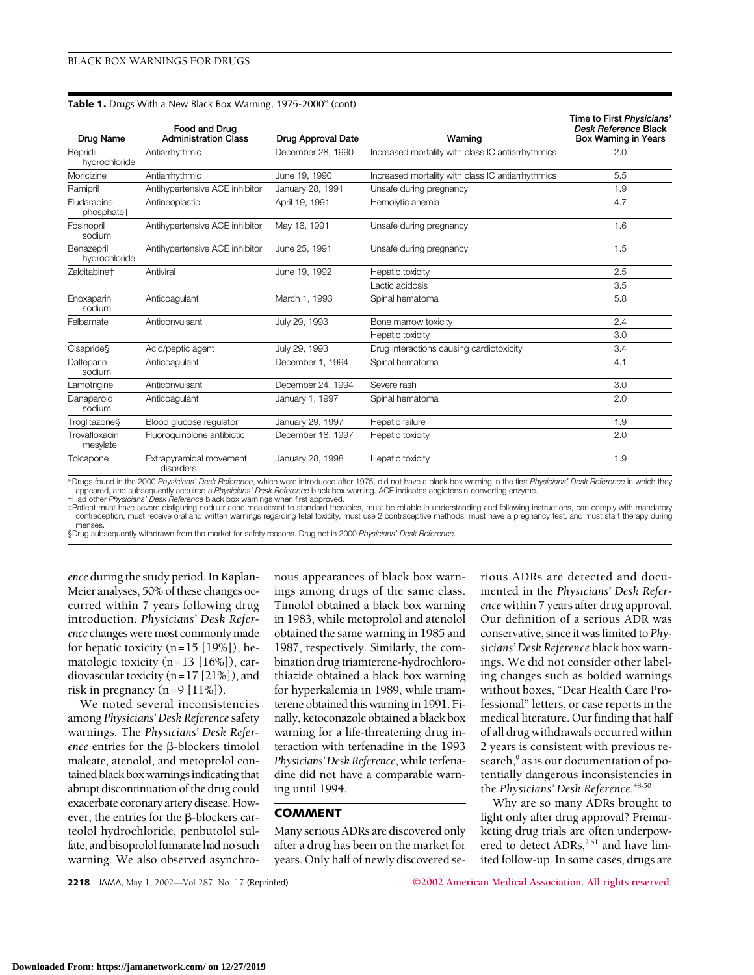#### **Table 1.** Drugs With a New Black Box Warning, 1975-2000\* (cont)

| Drug Name                             | Food and Drug<br><b>Administration Class</b> | Drug Approval Date | Warning                                           | Time to First Physicians'<br>Desk Reference Black<br><b>Box Warning in Years</b> |
|---------------------------------------|----------------------------------------------|--------------------|---------------------------------------------------|----------------------------------------------------------------------------------|
| Bepridil<br>hydrochloride             | Antiarrhythmic                               | December 28, 1990  | Increased mortality with class IC antiarrhythmics | 2.0                                                                              |
| Moricizine                            | Antiarrhythmic                               | June 19, 1990      | Increased mortality with class IC antiarrhythmics | 5.5                                                                              |
| Ramipril                              | Antihypertensive ACE inhibitor               | January 28, 1991   | Unsafe during pregnancy                           | 1.9                                                                              |
| Fludarabine<br>phosphate <sup>+</sup> | Antineoplastic                               | April 19, 1991     | Hemolytic anemia                                  | 4.7                                                                              |
| Fosinopril<br>sodium                  | Antihypertensive ACE inhibitor               | May 16, 1991       | Unsafe during pregnancy                           | 1.6                                                                              |
| Benazepril<br>hydrochloride           | Antihypertensive ACE inhibitor               | June 25, 1991      | Unsafe during pregnancy                           | 1.5                                                                              |
| Zalcitabine <sup>+</sup>              | Antiviral                                    | June 19, 1992      | Hepatic toxicity                                  | 2.5                                                                              |
|                                       |                                              |                    | Lactic acidosis                                   | 3.5                                                                              |
| Enoxaparin<br>sodium                  | Anticoagulant                                | March 1, 1993      | Spinal hematoma                                   | 5.8                                                                              |
| Felbamate                             | Anticonvulsant                               | July 29, 1993      | Bone marrow toxicity                              | 2.4                                                                              |
|                                       |                                              |                    | Hepatic toxicity                                  | 3.0                                                                              |
| Cisapride§                            | Acid/peptic agent                            | July 29, 1993      | Drug interactions causing cardiotoxicity          | 3.4                                                                              |
| Dalteparin<br>sodium                  | Anticoagulant                                | December 1, 1994   | Spinal hematoma                                   | 4.1                                                                              |
| Lamotrigine                           | Anticonvulsant                               | December 24, 1994  | Severe rash                                       | 3.0                                                                              |
| Danaparoid<br>sodium                  | Anticoagulant                                | January 1, 1997    | Spinal hematoma                                   | 2.0                                                                              |
| Troglitazone§                         | Blood glucose regulator                      | January 29, 1997   | Hepatic failure                                   | 1.9                                                                              |
| Trovafloxacin<br>mesylate             | Fluoroquinolone antibiotic                   | December 18, 1997  | Hepatic toxicity                                  | 2.0                                                                              |
| Tolcapone                             | Extrapyramidal movement<br>disorders         | January 28, 1998   | Hepatic toxicity                                  | 1.9                                                                              |

\*Drugs found in the 2000 *Physicians' Desk Reference*, which were introduced after 1975, did not have a black box warning in the first *Physicians' Desk Reference* in which they appeared, and subsequently acquired a *Physicians' Desk Reference* black box warning. ACE indicates angiotensin-converting enzyme. †Had other *Physicians' Desk Reference* black box warnings when first approved.

‡Patient must have severe disfiguring nodular acne recalcitrant to standard therapies, must be reliable in understanding and following instructions, can comply with mandatory contraception, must receive oral and written warnings regarding fetal toxicity, must use 2 contraceptive methods, must have a pregnancy test, and must start therapy during menses

§Drug subsequently withdrawn from the market for safety reasons. Drug not in 2000 *Physicians' Desk Reference*.

*ence* during the study period. In Kaplan-Meier analyses, 50% of these changes occurred within 7 years following drug introduction. *Physicians' Desk Reference* changes were most commonly made for hepatic toxicity  $(n=15 [19\%])$ , hematologic toxicity (n=13 [16%]), cardiovascular toxicity (n=17 [21%]), and risk in pregnancy (n=9 [11%]).

We noted several inconsistencies among *Physicians' Desk Reference* safety warnings. The *Physicians' Desk Reference* entries for the  $\beta$ -blockers timolol maleate, atenolol, and metoprolol contained black box warnings indicating that abrupt discontinuation of the drug could exacerbate coronary artery disease. However, the entries for the  $\beta$ -blockers carteolol hydrochloride, penbutolol sulfate, and bisoprolol fumarate had no such warning. We also observed asynchronous appearances of black box warnings among drugs of the same class. Timolol obtained a black box warning in 1983, while metoprolol and atenolol obtained the same warning in 1985 and 1987, respectively. Similarly, the combination drug triamterene-hydrochlorothiazide obtained a black box warning for hyperkalemia in 1989, while triamterene obtained this warning in 1991. Finally, ketoconazole obtained a black box warning for a life-threatening drug interaction with terfenadine in the 1993 *Physicians'Desk Reference*, while terfenadine did not have a comparable warning until 1994.

### **COMMENT**

Many serious ADRs are discovered only after a drug has been on the market for years. Only half of newly discovered serious ADRs are detected and documented in the *Physicians' Desk Reference* within 7 years after drug approval. Our definition of a serious ADR was conservative, since it was limited to *Physicians' Desk Reference* black box warnings. We did not consider other labeling changes such as bolded warnings without boxes, "Dear Health Care Professional" letters, or case reports in the medical literature. Our finding that half of all drug withdrawals occurred within 2 years is consistent with previous research,<sup>9</sup> as is our documentation of potentially dangerous inconsistencies in the *Physicians' Desk Reference*. 48-50

Why are so many ADRs brought to light only after drug approval? Premarketing drug trials are often underpowered to detect ADRs,<sup>2,51</sup> and have limited follow-up. In some cases, drugs are

**2218** JAMA, May 1, 2002—Vol 287, No. 17 (Reprinted) **©2002 American Medical Association. All rights reserved.**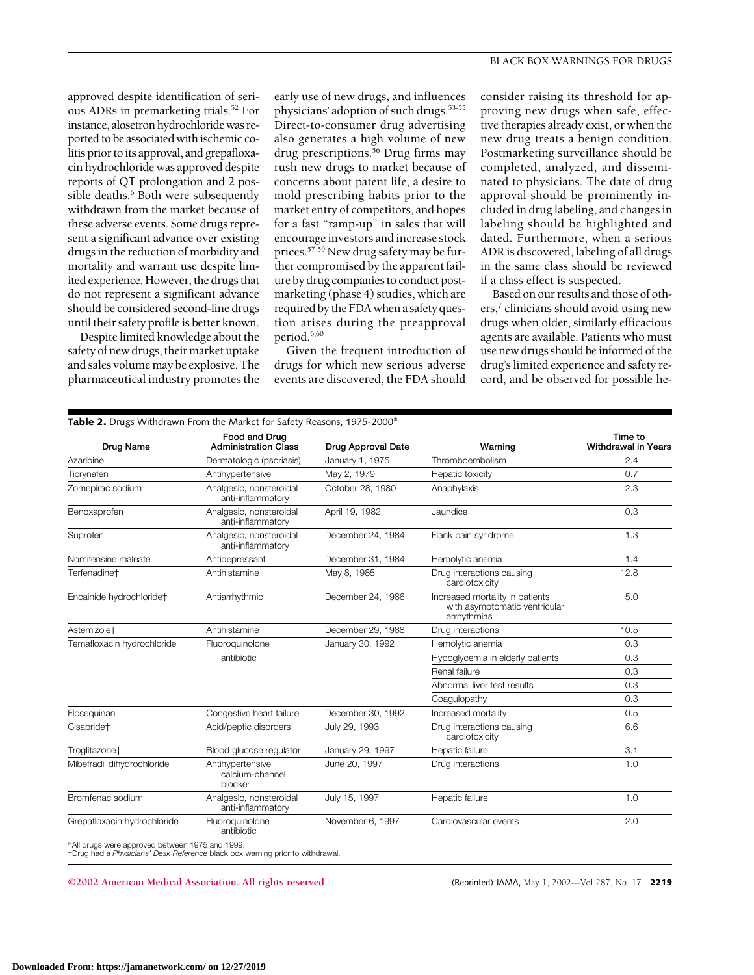approved despite identification of serious ADRs in premarketing trials.52 For instance, alosetron hydrochloride was reported to be associated with ischemic colitis prior to its approval, and grepafloxacin hydrochloride was approved despite reports of QT prolongation and 2 possible deaths.<sup>6</sup> Both were subsequently withdrawn from the market because of these adverse events. Some drugs represent a significant advance over existing drugs in the reduction of morbidity and mortality and warrant use despite limited experience. However, the drugs that do not represent a significant advance should be considered second-line drugs until their safety profile is better known.

Despite limited knowledge about the safety of new drugs, their market uptake and sales volume may be explosive. The pharmaceutical industry promotes the

early use of new drugs, and influences physicians' adoption of such drugs.53-55 Direct-to-consumer drug advertising also generates a high volume of new drug prescriptions.<sup>56</sup> Drug firms may rush new drugs to market because of concerns about patent life, a desire to mold prescribing habits prior to the market entry of competitors, and hopes for a fast "ramp-up" in sales that will encourage investors and increase stock prices.57-59 New drug safety may be further compromised by the apparent failure by drug companies to conduct postmarketing (phase 4) studies, which are required by the FDA when a safety question arises during the preapproval period.<sup>6,60</sup>

Given the frequent introduction of drugs for which new serious adverse events are discovered, the FDA should

consider raising its threshold for approving new drugs when safe, effective therapies already exist, or when the new drug treats a benign condition. Postmarketing surveillance should be completed, analyzed, and disseminated to physicians. The date of drug approval should be prominently included in drug labeling, and changes in labeling should be highlighted and dated. Furthermore, when a serious ADR is discovered, labeling of all drugs in the same class should be reviewed if a class effect is suspected.

Based on our results and those of others,<sup>7</sup> clinicians should avoid using new drugs when older, similarly efficacious agents are available. Patients who must use new drugs should be informed of the drug's limited experience and safety record, and be observed for possible he-

| Drug Name                   | Food and Drug<br><b>Administration Class</b>   | <b>Drug Approval Date</b> | Warning                                                                         | Time to<br><b>Withdrawal in Years</b> |
|-----------------------------|------------------------------------------------|---------------------------|---------------------------------------------------------------------------------|---------------------------------------|
| Azaribine                   | Dermatologic (psoriasis)                       | January 1, 1975           | Thromboembolism                                                                 | 2.4                                   |
| Ticrynafen                  | Antihypertensive                               | May 2, 1979               | Hepatic toxicity                                                                | 0.7                                   |
| Zomepirac sodium            | Analgesic, nonsteroidal<br>anti-inflammatory   | October 28, 1980          | Anaphylaxis                                                                     | 2.3                                   |
| Benoxaprofen                | Analgesic, nonsteroidal<br>anti-inflammatory   | April 19, 1982            | Jaundice                                                                        | 0.3                                   |
| Suprofen                    | Analgesic, nonsteroidal<br>anti-inflammatory   | December 24, 1984         | Flank pain syndrome                                                             | 1.3                                   |
| Nomifensine maleate         | Antidepressant                                 | December 31, 1984         | Hemolytic anemia                                                                | 1.4                                   |
| Terfenadine†                | Antihistamine                                  | May 8, 1985               | Drug interactions causing<br>cardiotoxicity                                     | 12.8                                  |
| Encainide hydrochloridet    | Antiarrhythmic                                 | December 24, 1986         | Increased mortality in patients<br>with asymptomatic ventricular<br>arrhythmias | 5.0                                   |
| Astemizole <sup>+</sup>     | Antihistamine                                  | December 29, 1988         | Drug interactions                                                               | 10.5                                  |
| Temafloxacin hydrochloride  | Fluoroquinolone<br>antibiotic                  | January 30, 1992          | Hemolytic anemia                                                                | 0.3                                   |
|                             |                                                |                           | Hypoglycemia in elderly patients                                                | 0.3                                   |
|                             |                                                |                           | Renal failure                                                                   | 0.3                                   |
|                             |                                                |                           | Abnormal liver test results                                                     | 0.3                                   |
|                             |                                                |                           | Coagulopathy                                                                    | 0.3                                   |
| Flosequinan                 | Congestive heart failure                       | December 30, 1992         | Increased mortality                                                             | 0.5                                   |
| Cisapride <sup>+</sup>      | Acid/peptic disorders                          | July 29, 1993             | Drug interactions causing<br>cardiotoxicity                                     | 6.6                                   |
| Troglitazone†               | Blood glucose regulator                        | January 29, 1997          | Hepatic failure                                                                 | 3.1                                   |
| Mibefradil dihydrochloride  | Antihypertensive<br>calcium-channel<br>blocker | June 20, 1997             | Drug interactions                                                               | 1.0                                   |
| Bromfenac sodium            | Analgesic, nonsteroidal<br>anti-inflammatory   | July 15, 1997             | Hepatic failure                                                                 | 1.0                                   |
| Grepafloxacin hydrochloride | Fluoroquinolone<br>antibiotic                  | November 6, 1997          | Cardiovascular events                                                           | 2.0                                   |

**©2002 American Medical Association. All rights reserved.** (Reprinted) JAMA, May 1, 2002—Vol 287, No. 17 **2219**